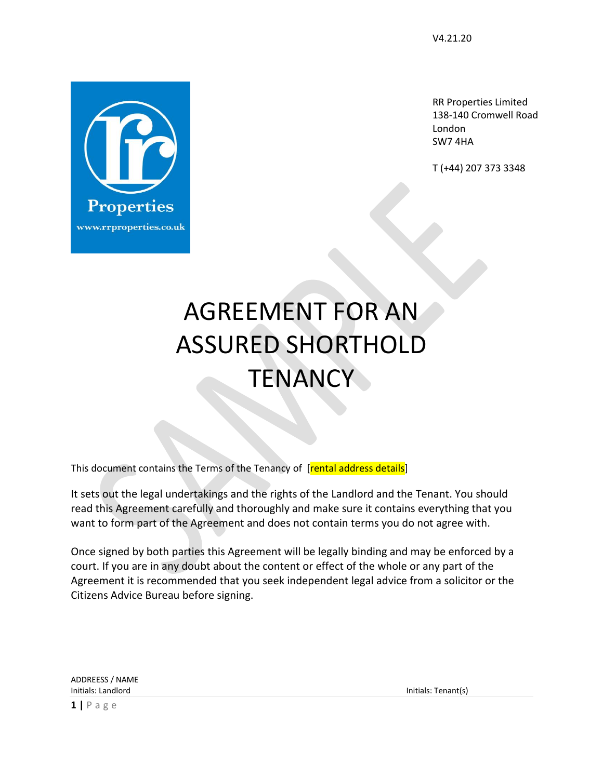RR Properties Limited 138-140 Cromwell Road London SW7 4HA

T (+44) 207 373 3348

# AGREEMENT FOR AN ASSURED SHORTHOLD **TENANCY**

This document contains the Terms of the Tenancy of [rental address details]

It sets out the legal undertakings and the rights of the Landlord and the Tenant. You should read this Agreement carefully and thoroughly and make sure it contains everything that you want to form part of the Agreement and does not contain terms you do not agree with.

Once signed by both parties this Agreement will be legally binding and may be enforced by a court. If you are in any doubt about the content or effect of the whole or any part of the Agreement it is recommended that you seek independent legal advice from a solicitor or the Citizens Advice Bureau before signing.

ADDREESS / NAME Initials: Landlord Initials: Tenant(s)

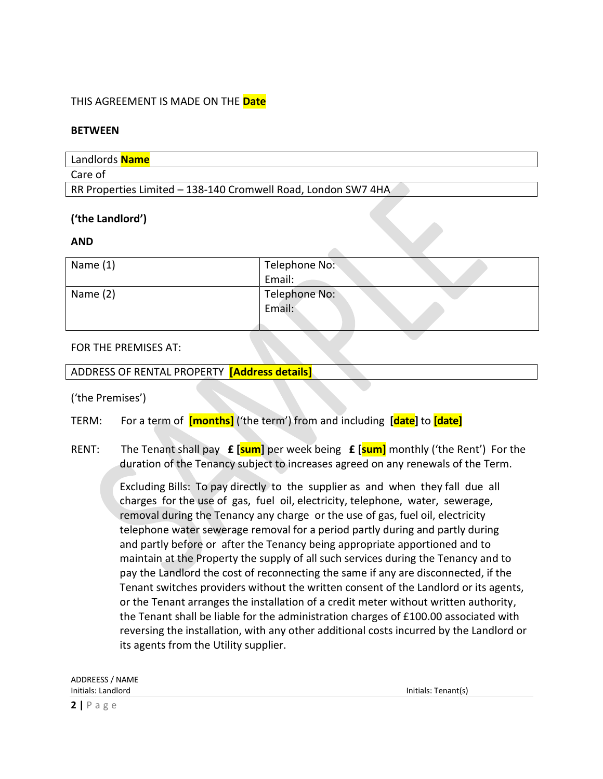#### THIS AGREEMENT IS MADE ON THE **Date**

#### **BETWEEN**

| Landlords <b>Name</b>                                         |
|---------------------------------------------------------------|
| Care of                                                       |
| RR Properties Limited - 138-140 Cromwell Road, London SW7 4HA |

#### **('the Landlord')**

#### **AND**

| Name $(1)$ | Telephone No: |
|------------|---------------|
|            | Email:        |
| Name $(2)$ | Telephone No: |
|            | Email:        |
|            |               |

#### FOR THE PREMISES AT:

#### ADDRESS OF RENTAL PROPERTY **[Address details]**

('the Premises')

- TERM: For a term of **[months]** ('the term') from and including **[date]** to **[date]**
- RENT: The Tenant shall pay **£ [sum]** per week being **£ [sum]** monthly ('the Rent') For the duration of the Tenancy subject to increases agreed on any renewals of the Term.

Excluding Bills: To pay directly to the supplier as and when they fall due all charges for the use of gas, fuel oil, electricity, telephone, water, sewerage, removal during the Tenancy any charge or the use of gas, fuel oil, electricity telephone water sewerage removal for a period partly during and partly during and partly before or after the Tenancy being appropriate apportioned and to maintain at the Property the supply of all such services during the Tenancy and to pay the Landlord the cost of reconnecting the same if any are disconnected, if the Tenant switches providers without the written consent of the Landlord or its agents, or the Tenant arranges the installation of a credit meter without written authority, the Tenant shall be liable for the administration charges of £100.00 associated with reversing the installation, with any other additional costs incurred by the Landlord or its agents from the Utility supplier.

| ADDREESS / NAME    |  |
|--------------------|--|
| Initials: Landlord |  |

Initials: Tenant(s)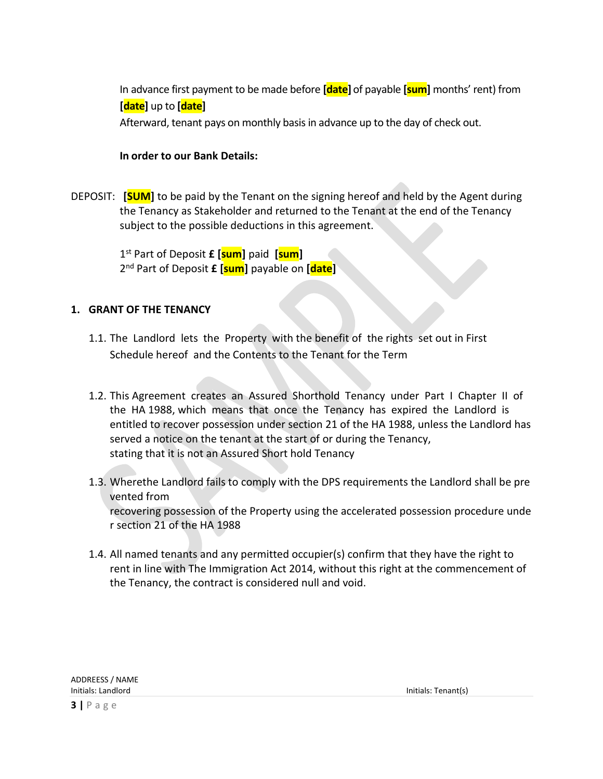In advance first payment to be made before **[date]** of payable **[sum]** months' rent) from **[date]** up to **[date]**

Afterward, tenant pays on monthly basis in advance up to the day of check out.

#### **In order to our Bank Details:**

DEPOSIT: **[SUM]** to be paid by the Tenant on the signing hereof and held by the Agent during the Tenancy as Stakeholder and returned to the Tenant at the end of the Tenancy subject to the possible deductions in this agreement.

 1 st Part of Deposit **£ [sum]** paid **[sum]** 2 nd Part of Deposit **£ [sum]** payable on **[date]**

#### **1. GRANT OF THE TENANCY**

- 1.1. The Landlord lets the Property with the benefit of the rights set out in First Schedule hereof and the Contents to the Tenant for the Term
- 1.2. This Agreement creates an Assured Shorthold Tenancy under Part I Chapter II of the HA 1988, which means that once the Tenancy has expired the Landlord is entitled to recover possession under section 21 of the HA 1988, unless the Landlord has served a notice on the tenant at the start of or during the Tenancy, stating that it is not an Assured Short hold Tenancy
- 1.3. Wherethe Landlord fails to comply with the DPS requirements the Landlord shall be pre vented from recovering possession of the Property using the accelerated possession procedure unde r section 21 of the HA 1988
- 1.4. All named tenants and any permitted occupier(s) confirm that they have the right to rent in line with The Immigration Act 2014, without this right at the commencement of the Tenancy, the contract is considered null and void.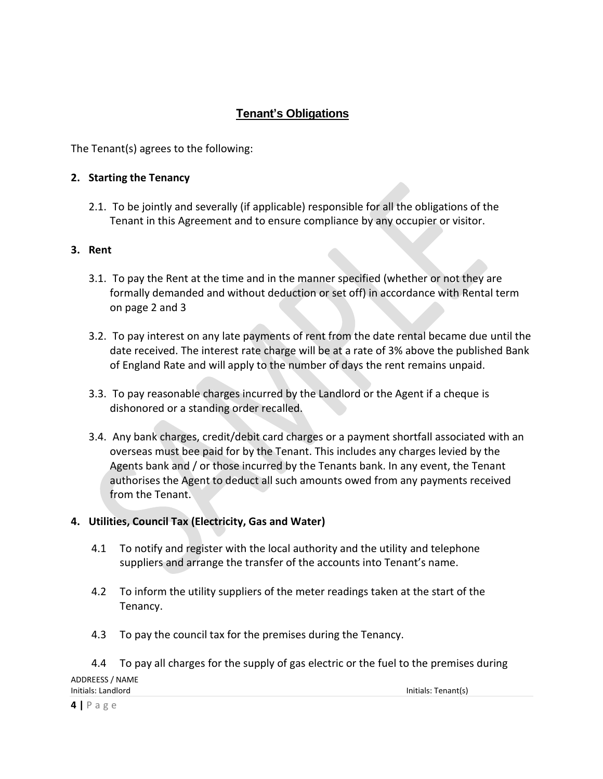# **Tenant's Obligations**

The Tenant(s) agrees to the following:

### **2. Starting the Tenancy**

2.1. To be jointly and severally (if applicable) responsible for all the obligations of the Tenant in this Agreement and to ensure compliance by any occupier or visitor.

#### **3. Rent**

- 3.1. To pay the Rent at the time and in the manner specified (whether or not they are formally demanded and without deduction or set off) in accordance with Rental term on page 2 and 3
- 3.2. To pay interest on any late payments of rent from the date rental became due until the date received. The interest rate charge will be at a rate of 3% above the published Bank of England Rate and will apply to the number of days the rent remains unpaid.
- 3.3. To pay reasonable charges incurred by the Landlord or the Agent if a cheque is dishonored or a standing order recalled.
- 3.4. Any bank charges, credit/debit card charges or a payment shortfall associated with an overseas must bee paid for by the Tenant. This includes any charges levied by the Agents bank and / or those incurred by the Tenants bank. In any event, the Tenant authorises the Agent to deduct all such amounts owed from any payments received from the Tenant.

# **4. Utilities, Council Tax (Electricity, Gas and Water)**

- 4.1 To notify and register with the local authority and the utility and telephone suppliers and arrange the transfer of the accounts into Tenant's name.
- 4.2 To inform the utility suppliers of the meter readings taken at the start of the Tenancy.
- 4.3 To pay the council tax for the premises during the Tenancy.

|                    | 4.4 To pay all charges for the supply of gas electric or the fuel to the premises during |                     |
|--------------------|------------------------------------------------------------------------------------------|---------------------|
| ADDREESS / NAME    |                                                                                          |                     |
| Initials: Landlord |                                                                                          | Initials: Tenant(s) |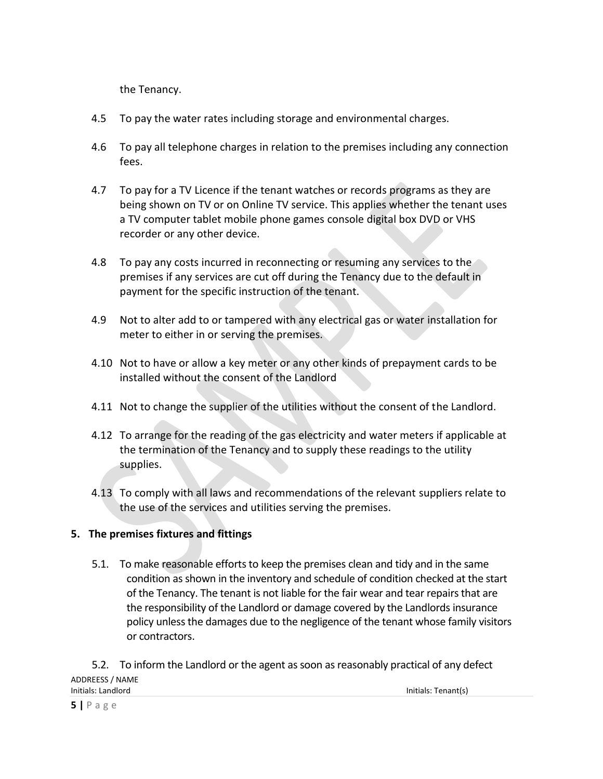the Tenancy.

- 4.5 To pay the water rates including storage and environmental charges.
- 4.6 To pay all telephone charges in relation to the premises including any connection fees.
- 4.7 To pay for a TV Licence if the tenant watches or records programs as they are being shown on TV or on Online TV service. This applies whether the tenant uses a TV computer tablet mobile phone games console digital box DVD or VHS recorder or any other device.
- 4.8 To pay any costs incurred in reconnecting or resuming any services to the premises if any services are cut off during the Tenancy due to the default in payment for the specific instruction of the tenant.
- 4.9 Not to alter add to or tampered with any electrical gas or water installation for meter to either in or serving the premises.
- 4.10 Not to have or allow a key meter or any other kinds of prepayment cards to be installed without the consent of the Landlord
- 4.11 Not to change the supplier of the utilities without the consent of the Landlord.
- 4.12 To arrange for the reading of the gas electricity and water meters if applicable at the termination of the Tenancy and to supply these readings to the utility supplies.
- 4.13 To comply with all laws and recommendations of the relevant suppliers relate to the use of the services and utilities serving the premises.

# **5. The premises fixtures and fittings**

5.1. To make reasonable efforts to keep the premises clean and tidy and in the same condition as shown in the inventory and schedule of condition checked at the start of the Tenancy. The tenant is not liable for the fair wear and tear repairs that are the responsibility of the Landlord or damage covered by the Landlords insurance policy unless the damages due to the negligence of the tenant whose family visitors or contractors.

ADDREESS / NAME Initials: Landlord Initials: Tenant(s) 5.2. To inform the Landlord or the agent as soon as reasonably practical of any defect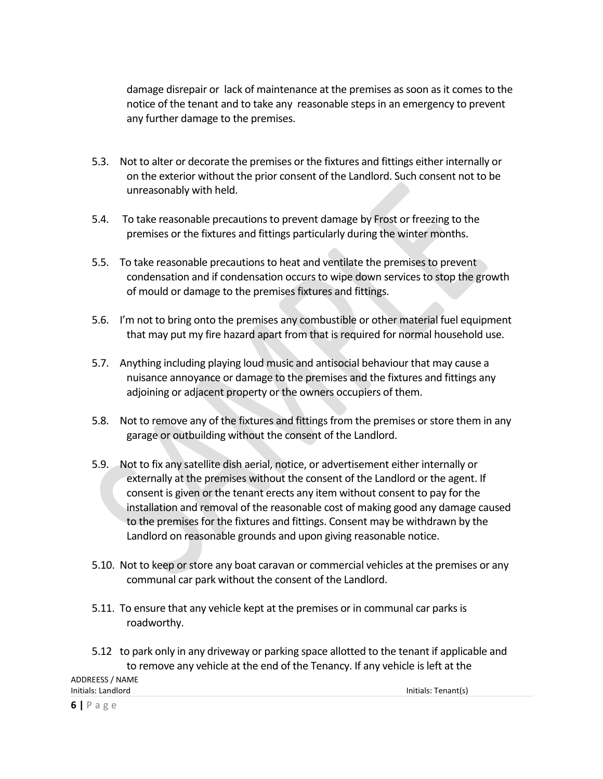damage disrepair or lack of maintenance at the premises as soon as it comes to the notice of the tenant and to take any reasonable steps in an emergency to prevent any further damage to the premises.

- 5.3. Not to alter or decorate the premises or the fixtures and fittings either internally or on the exterior without the prior consent of the Landlord. Such consent not to be unreasonably with held.
- 5.4. To take reasonable precautions to prevent damage by Frost or freezing to the premises or the fixtures and fittings particularly during the winter months.
- 5.5. To take reasonable precautions to heat and ventilate the premises to prevent condensation and if condensation occurs to wipe down services to stop the growth of mould or damage to the premises fixtures and fittings.
- 5.6. I'm not to bring onto the premises any combustible or other material fuel equipment that may put my fire hazard apart from that is required for normal household use.
- 5.7. Anything including playing loud music and antisocial behaviour that may cause a nuisance annoyance or damage to the premises and the fixtures and fittings any adjoining or adjacent property or the owners occupiers of them.
- 5.8. Not to remove any of the fixtures and fittings from the premises or store them in any garage or outbuilding without the consent of the Landlord.
- 5.9. Not to fix any satellite dish aerial, notice, or advertisement either internally or externally at the premises without the consent of the Landlord or the agent. If consent is given or the tenant erects any item without consent to pay for the installation and removal of the reasonable cost of making good any damage caused to the premises for the fixtures and fittings. Consent may be withdrawn by the Landlord on reasonable grounds and upon giving reasonable notice.
- 5.10. Not to keep or store any boat caravan or commercial vehicles at the premises or any communal car park without the consent of the Landlord.
- 5.11. To ensure that any vehicle kept at the premises or in communal car parks is roadworthy.

Initials: Landlord Initials: Tenant(s)

ADDREESS / NAME 5.12 to park only in any driveway or parking space allotted to the tenant if applicable and to remove any vehicle at the end of the Tenancy. If any vehicle isleft at the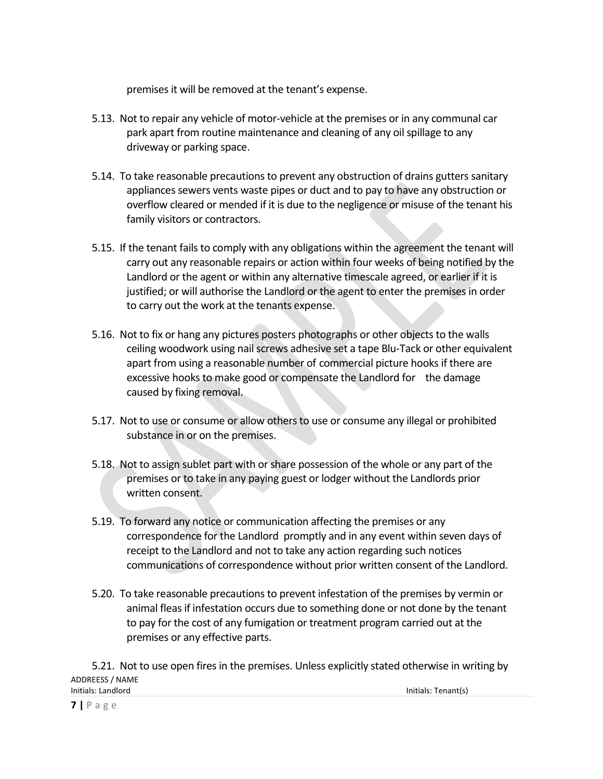premises it will be removed at the tenant's expense.

- 5.13. Not to repair any vehicle of motor-vehicle at the premises or in any communal car park apart from routine maintenance and cleaning of any oil spillage to any driveway or parking space.
- 5.14. To take reasonable precautions to prevent any obstruction of drains gutters sanitary appliances sewers vents waste pipes or duct and to pay to have any obstruction or overflow cleared or mended if it is due to the negligence or misuse of the tenant his family visitors or contractors.
- 5.15. If the tenant fails to comply with any obligations within the agreement the tenant will carry out any reasonable repairs or action within four weeks of being notified by the Landlord or the agent or within any alternative timescale agreed, or earlier if it is justified; or will authorise the Landlord or the agent to enter the premises in order to carry out the work at the tenants expense.
- 5.16. Not to fix or hang any pictures posters photographs or other objects to the walls ceiling woodwork using nail screws adhesive set a tape Blu-Tack or other equivalent apart from using a reasonable number of commercial picture hooks if there are excessive hooks to make good or compensate the Landlord for the damage caused by fixing removal.
- 5.17. Not to use or consume or allow others to use or consume any illegal or prohibited substance in or on the premises.
- 5.18. Not to assign sublet part with or share possession of the whole or any part of the premises or to take in any paying guest or lodger without the Landlords prior written consent.
- 5.19. To forward any notice or communication affecting the premises or any correspondence for the Landlord promptly and in any event within seven days of receipt to the Landlord and not to take any action regarding such notices communications of correspondence without prior written consent of the Landlord.
- 5.20. To take reasonable precautions to prevent infestation of the premises by vermin or animal fleas if infestation occurs due to something done or not done by the tenant to pay for the cost of any fumigation or treatment program carried out at the premises or any effective parts.

ADDREESS / NAME Initials: Landlord Initials: Tenant(s) 5.21. Not to use open fires in the premises. Unless explicitly stated otherwise in writing by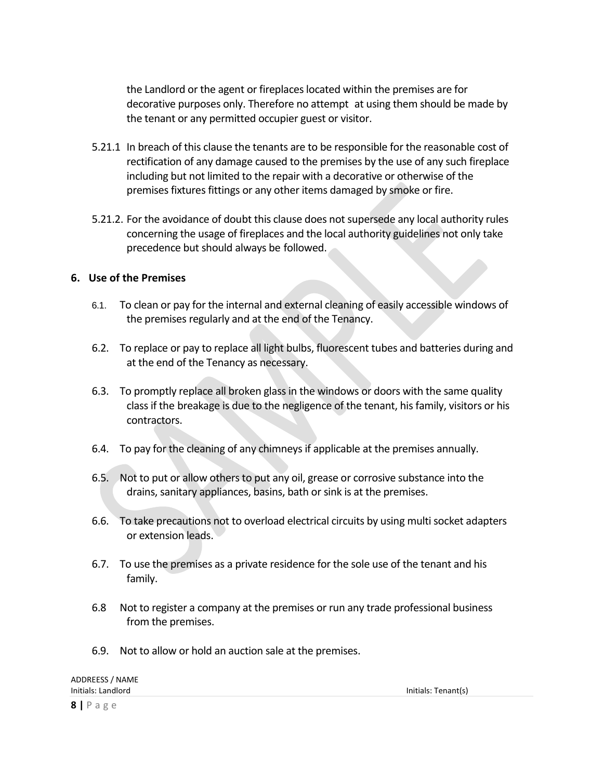the Landlord or the agent or fireplaces located within the premises are for decorative purposes only. Therefore no attempt at using them should be made by the tenant or any permitted occupier guest or visitor.

- 5.21.1 In breach of this clause the tenants are to be responsible for the reasonable cost of rectification of any damage caused to the premises by the use of any such fireplace including but not limited to the repair with a decorative or otherwise of the premises fixtures fittings or any other items damaged by smoke or fire.
- 5.21.2. For the avoidance of doubt this clause does not supersede any local authority rules concerning the usage of fireplaces and the local authority guidelines not only take precedence but should always be followed.

#### **6. Use of the Premises**

- 6.1. To clean or pay for the internal and external cleaning of easily accessible windows of the premises regularly and at the end of the Tenancy.
- 6.2. To replace or pay to replace all light bulbs, fluorescent tubes and batteries during and at the end of the Tenancy as necessary.
- 6.3. To promptly replace all broken glass in the windows or doors with the same quality class if the breakage is due to the negligence of the tenant, his family, visitors or his contractors.
- 6.4. To pay for the cleaning of any chimneys if applicable at the premises annually.
- 6.5. Not to put or allow others to put any oil, grease or corrosive substance into the drains, sanitary appliances, basins, bath or sink is at the premises.
- 6.6. To take precautions not to overload electrical circuits by using multi socket adapters or extension leads.
- 6.7. To use the premises as a private residence for the sole use of the tenant and his family.
- 6.8 Not to register a company at the premises or run any trade professional business from the premises.
- 6.9. Not to allow or hold an auction sale at the premises.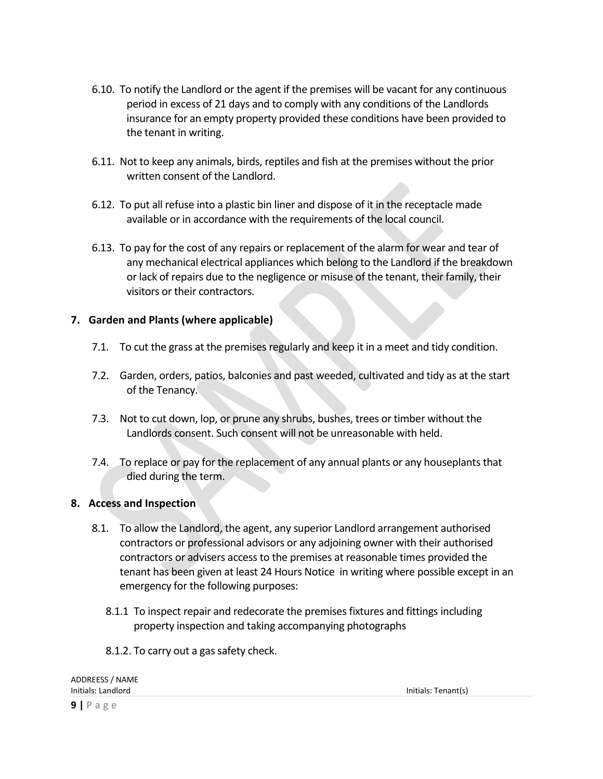- 6.10. To notify the Landlord or the agent if the premises will be vacant for any continuous period in excess of 21 days and to comply with any conditions of the Landlords insurance for an empty property provided these conditions have been provided to the tenant in writing.
- 6.11. Not to keep any animals, birds, reptiles and fish at the premises without the prior written consent of the Landlord.
- 6.12. To put all refuse into a plastic bin liner and dispose of it in the receptacle made available or in accordance with the requirements of the local council.
- 6.13. To pay for the cost of any repairs or replacement of the alarm for wear and tear of any mechanical electrical appliances which belong to the Landlord if the breakdown or lack of repairs due to the negligence or misuse of the tenant, their family, their visitors or their contractors.

# **7. Garden and Plants (where applicable)**

- 7.1. To cut the grass at the premises regularly and keep it in a meet and tidy condition.
- 7.2. Garden, orders, patios, balconies and past weeded, cultivated and tidy as at the start of the Tenancy.
- 7.3. Not to cut down, lop, or prune any shrubs, bushes, trees or timber without the Landlords consent. Such consent will not be unreasonable with held.
- 7.4. To replace or pay for the replacement of any annual plants or any houseplants that died during the term.

# **8. Access and Inspection**

- 8.1. To allow the Landlord, the agent, any superior Landlord arrangement authorised contractors or professional advisors or any adjoining owner with their authorised contractors or advisers access to the premises at reasonable times provided the tenant has been given at least 24 Hours Notice in writing where possible except in an emergency for the following purposes:
	- 8.1.1 To inspect repair and redecorate the premises fixtures and fittings including property inspection and taking accompanying photographs
	- 8.1.2. To carry out a gas safety check.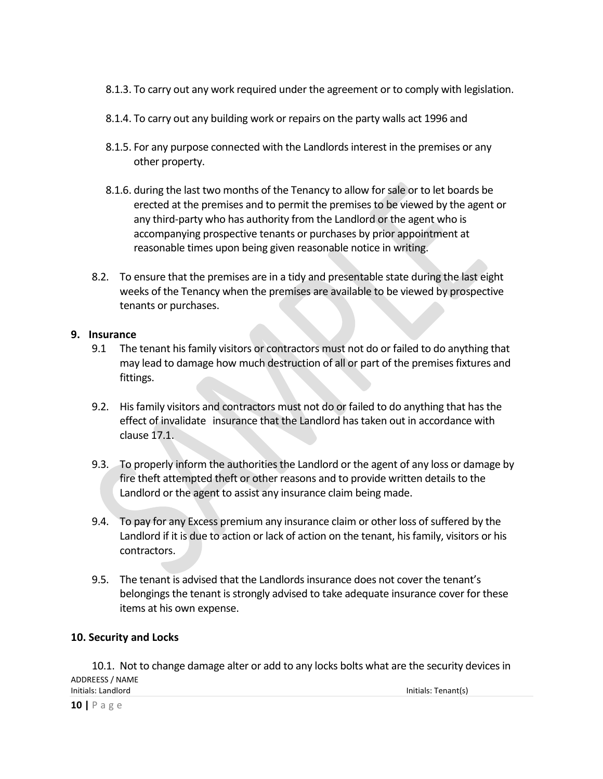- 8.1.3. To carry out any work required under the agreement or to comply with legislation.
- 8.1.4. To carry out any building work or repairs on the party walls act 1996 and
- 8.1.5. For any purpose connected with the Landlords interest in the premises or any other property.
- 8.1.6. during the last two months of the Tenancy to allow for sale or to let boards be erected at the premises and to permit the premises to be viewed by the agent or any third-party who has authority from the Landlord or the agent who is accompanying prospective tenants or purchases by prior appointment at reasonable times upon being given reasonable notice in writing.
- 8.2. To ensure that the premises are in a tidy and presentable state during the last eight weeks of the Tenancy when the premises are available to be viewed by prospective tenants or purchases.

#### **9. Insurance**

- 9.1 The tenant his family visitors or contractors must not do or failed to do anything that may lead to damage how much destruction of all or part of the premises fixtures and fittings.
- 9.2. His family visitors and contractors must not do or failed to do anything that has the effect of invalidate insurance that the Landlord has taken out in accordance with clause 17.1.
- 9.3. To properly inform the authorities the Landlord or the agent of any loss or damage by fire theft attempted theft or other reasons and to provide written details to the Landlord or the agent to assist any insurance claim being made.
- 9.4. To pay for any Excess premium any insurance claim or other loss of suffered by the Landlord if it is due to action or lack of action on the tenant, his family, visitors or his contractors.
- 9.5. The tenant is advised that the Landlords insurance does not cover the tenant's belongings the tenant is strongly advised to take adequate insurance cover for these items at his own expense.

#### **10. Security and Locks**

ADDREESS / NAME Initials: Landlord Initials: Tenant(s) 10.1. Not to change damage alter or add to any locks bolts what are the security devices in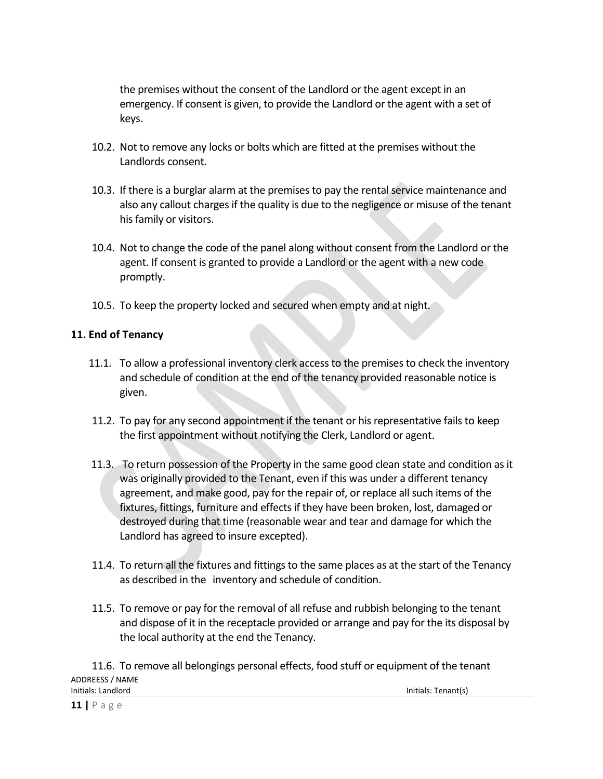the premises without the consent of the Landlord or the agent except in an emergency. If consent is given, to provide the Landlord or the agent with a set of keys.

- 10.2. Not to remove any locks or bolts which are fitted at the premises without the Landlords consent.
- 10.3. If there is a burglar alarm at the premises to pay the rental service maintenance and also any callout charges if the quality is due to the negligence or misuse of the tenant his family or visitors.
- 10.4. Not to change the code of the panel along without consent from the Landlord or the agent. If consent is granted to provide a Landlord or the agent with a new code promptly.
- 10.5. To keep the property locked and secured when empty and at night.

#### **11. End of Tenancy**

- 11.1. To allow a professional inventory clerk access to the premises to check the inventory and schedule of condition at the end of the tenancy provided reasonable notice is given.
- 11.2. To pay for any second appointment if the tenant or his representative fails to keep the first appointment without notifying the Clerk, Landlord or agent.
- 11.3. To return possession of the Property in the same good clean state and condition as it was originally provided to the Tenant, even if this was under a different tenancy agreement, and make good, pay for the repair of, or replace all such items of the fixtures, fittings, furniture and effects if they have been broken, lost, damaged or destroyed during that time (reasonable wear and tear and damage for which the Landlord has agreed to insure excepted).
- 11.4. To return all the fixtures and fittings to the same places as at the start of the Tenancy as described in the inventory and schedule of condition.
- 11.5. To remove or pay for the removal of all refuse and rubbish belonging to the tenant and dispose of it in the receptacle provided or arrange and pay for the its disposal by the local authority at the end the Tenancy.

ADDREESS / NAME Initials: Landlord Initials: Tenant(s) 11.6. To remove all belongings personal effects, food stuff or equipment of the tenant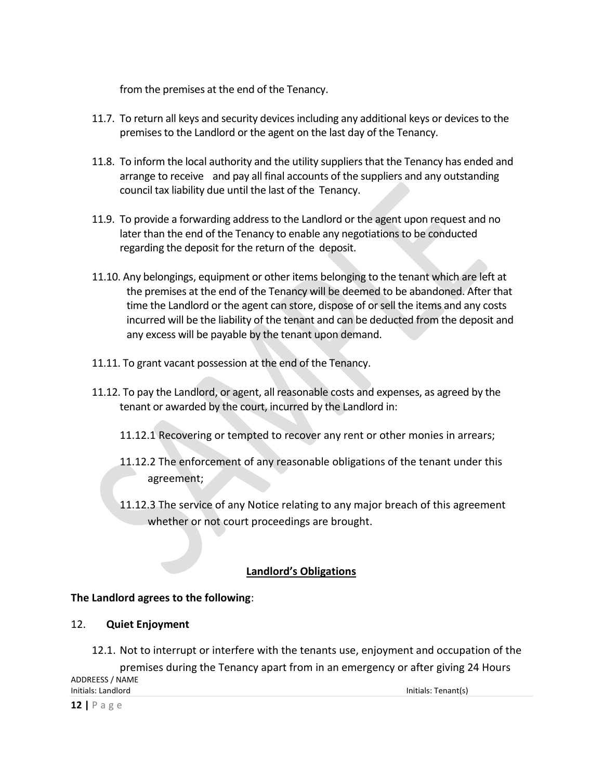from the premises at the end of the Tenancy.

- 11.7. To return all keys and security devices including any additional keys or devices to the premises to the Landlord or the agent on the last day of the Tenancy.
- 11.8. To inform the local authority and the utility suppliers that the Tenancy has ended and arrange to receive and pay all final accounts of the suppliers and any outstanding council tax liability due until the last of the Tenancy.
- 11.9. To provide a forwarding address to the Landlord or the agent upon request and no later than the end of the Tenancy to enable any negotiations to be conducted regarding the deposit for the return of the deposit.
- 11.10. Any belongings, equipment or other items belonging to the tenant which are left at the premises at the end of the Tenancy will be deemed to be abandoned. After that time the Landlord or the agent can store, dispose of or sell the items and any costs incurred will be the liability of the tenant and can be deducted from the deposit and any excess will be payable by the tenant upon demand.
- 11.11. To grant vacant possession at the end of the Tenancy.
- 11.12. To pay the Landlord, or agent, all reasonable costs and expenses, as agreed by the tenant or awarded by the court, incurred by the Landlord in:
	- 11.12.1 Recovering or tempted to recover any rent or other monies in arrears;
	- 11.12.2 The enforcement of any reasonable obligations of the tenant under this agreement;
	- 11.12.3 The service of any Notice relating to any major breach of this agreement whether or not court proceedings are brought.

# **Landlord's Obligations**

# **The Landlord agrees to the following**:

#### 12. **Quiet Enjoyment**

12.1. Not to interrupt or interfere with the tenants use, enjoyment and occupation of the premises during the Tenancy apart from in an emergency or after giving 24 Hours

ADDREESS / NAME Initials: Landlord Initials: Tenant(s)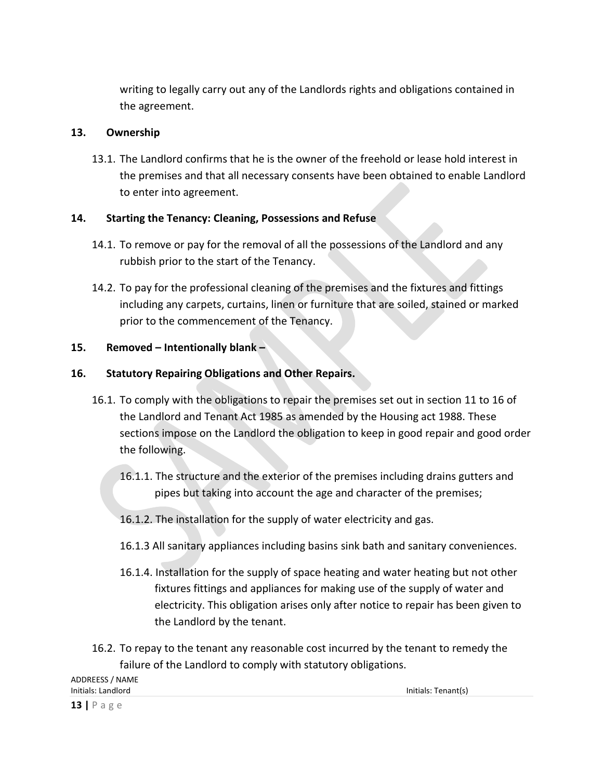writing to legally carry out any of the Landlords rights and obligations contained in the agreement.

# **13. Ownership**

13.1. The Landlord confirms that he is the owner of the freehold or lease hold interest in the premises and that all necessary consents have been obtained to enable Landlord to enter into agreement.

# **14. Starting the Tenancy: Cleaning, Possessions and Refuse**

- 14.1. To remove or pay for the removal of all the possessions of the Landlord and any rubbish prior to the start of the Tenancy.
- 14.2. To pay for the professional cleaning of the premises and the fixtures and fittings including any carpets, curtains, linen or furniture that are soiled, stained or marked prior to the commencement of the Tenancy.

# **15. Removed – Intentionally blank –**

# **16. Statutory Repairing Obligations and Other Repairs.**

- 16.1. To comply with the obligations to repair the premises set out in section 11 to 16 of the Landlord and Tenant Act 1985 as amended by the Housing act 1988. These sections impose on the Landlord the obligation to keep in good repair and good order the following.
	- 16.1.1. The structure and the exterior of the premises including drains gutters and pipes but taking into account the age and character of the premises;

# 16.1.2. The installation for the supply of water electricity and gas.

- 16.1.3 All sanitary appliances including basins sink bath and sanitary conveniences.
- 16.1.4. Installation for the supply of space heating and water heating but not other fixtures fittings and appliances for making use of the supply of water and electricity. This obligation arises only after notice to repair has been given to the Landlord by the tenant.
- 16.2. To repay to the tenant any reasonable cost incurred by the tenant to remedy the failure of the Landlord to comply with statutory obligations.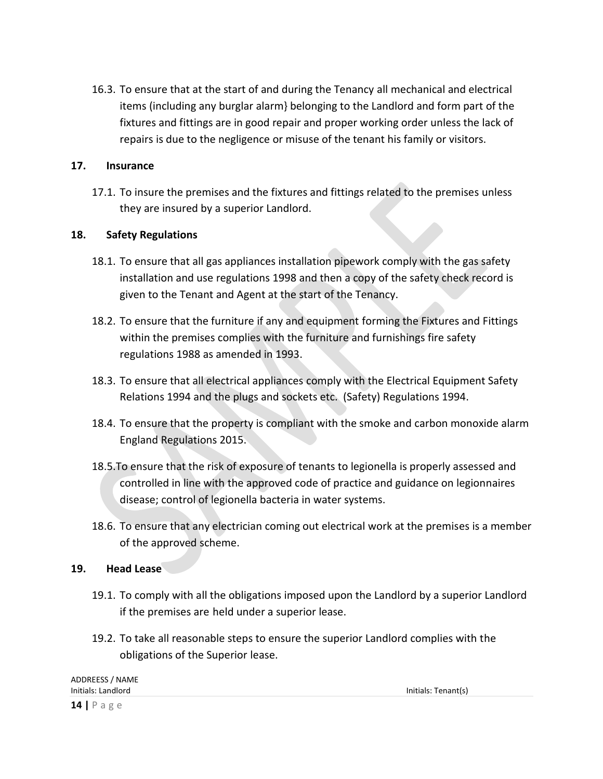16.3. To ensure that at the start of and during the Tenancy all mechanical and electrical items (including any burglar alarm} belonging to the Landlord and form part of the fixtures and fittings are in good repair and proper working order unless the lack of repairs is due to the negligence or misuse of the tenant his family or visitors.

#### **17. Insurance**

17.1. To insure the premises and the fixtures and fittings related to the premises unless they are insured by a superior Landlord.

#### **18. Safety Regulations**

- 18.1. To ensure that all gas appliances installation pipework comply with the gas safety installation and use regulations 1998 and then a copy of the safety check record is given to the Tenant and Agent at the start of the Tenancy.
- 18.2. To ensure that the furniture if any and equipment forming the Fixtures and Fittings within the premises complies with the furniture and furnishings fire safety regulations 1988 as amended in 1993.
- 18.3. To ensure that all electrical appliances comply with the Electrical Equipment Safety Relations 1994 and the plugs and sockets etc. (Safety) Regulations 1994.
- 18.4. To ensure that the property is compliant with the smoke and carbon monoxide alarm England Regulations 2015.
- 18.5.To ensure that the risk of exposure of tenants to legionella is properly assessed and controlled in line with the approved code of practice and guidance on legionnaires disease; control of legionella bacteria in water systems.
- 18.6. To ensure that any electrician coming out electrical work at the premises is a member of the approved scheme.

#### **19. Head Lease**

- 19.1. To comply with all the obligations imposed upon the Landlord by a superior Landlord if the premises are held under a superior lease.
- 19.2. To take all reasonable steps to ensure the superior Landlord complies with the obligations of the Superior lease.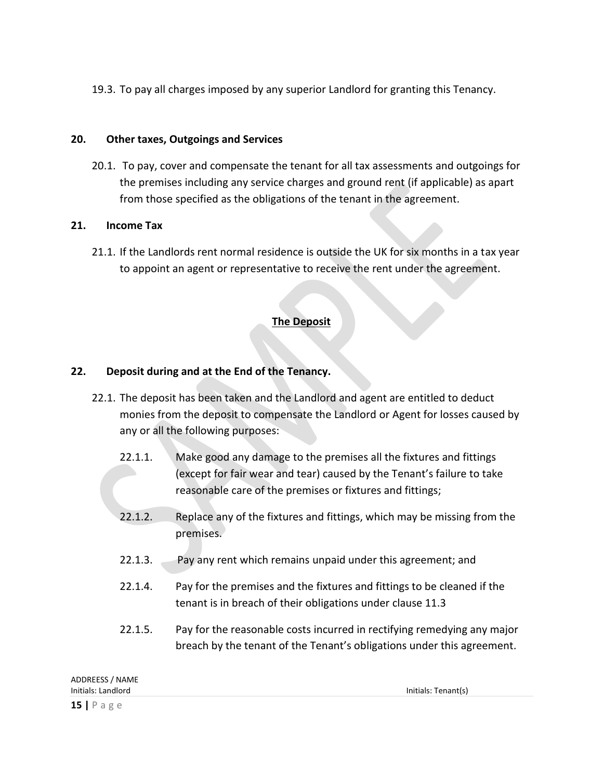19.3. To pay all charges imposed by any superior Landlord for granting this Tenancy.

# **20. Other taxes, Outgoings and Services**

20.1. To pay, cover and compensate the tenant for all tax assessments and outgoings for the premises including any service charges and ground rent (if applicable) as apart from those specified as the obligations of the tenant in the agreement.

# **21. Income Tax**

21.1. If the Landlords rent normal residence is outside the UK for six months in a tax year to appoint an agent or representative to receive the rent under the agreement.

# **The Deposit**

# **22. Deposit during and at the End of the Tenancy.**

- 22.1. The deposit has been taken and the Landlord and agent are entitled to deduct monies from the deposit to compensate the Landlord or Agent for losses caused by any or all the following purposes:
	- 22.1.1. Make good any damage to the premises all the fixtures and fittings (except for fair wear and tear) caused by the Tenant's failure to take reasonable care of the premises or fixtures and fittings;
	- 22.1.2. Replace any of the fixtures and fittings, which may be missing from the premises.
	- 22.1.3. Pay any rent which remains unpaid under this agreement; and
	- 22.1.4. Pay for the premises and the fixtures and fittings to be cleaned if the tenant is in breach of their obligations under clause 11.3
	- 22.1.5. Pay for the reasonable costs incurred in rectifying remedying any major breach by the tenant of the Tenant's obligations under this agreement.

| ADDREESS / NAME    |                     |
|--------------------|---------------------|
| Initials: Landlord | Initials: Tenant(s) |
| $15$   Page        |                     |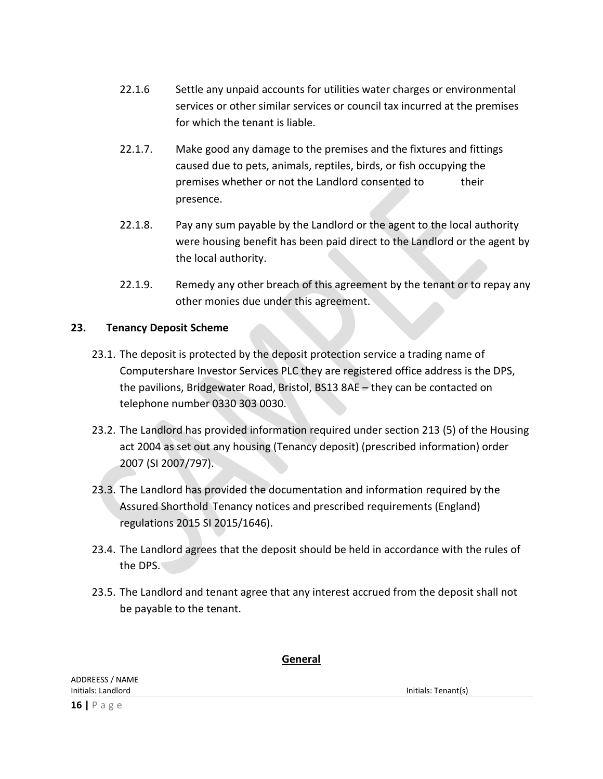- 22.1.6 Settle any unpaid accounts for utilities water charges or environmental services or other similar services or council tax incurred at the premises for which the tenant is liable.
- 22.1.7. Make good any damage to the premises and the fixtures and fittings caused due to pets, animals, reptiles, birds, or fish occupying the premises whether or not the Landlord consented to their presence.
- 22.1.8. Pay any sum payable by the Landlord or the agent to the local authority were housing benefit has been paid direct to the Landlord or the agent by the local authority.
- 22.1.9. Remedy any other breach of this agreement by the tenant or to repay any other monies due under this agreement.

# **23. Tenancy Deposit Scheme**

- 23.1. The deposit is protected by the deposit protection service a trading name of Computershare Investor Services PLC they are registered office address is the DPS, the pavilions, Bridgewater Road, Bristol, BS13 8AE – they can be contacted on telephone number 0330 303 0030.
- 23.2. The Landlord has provided information required under section 213 (5) of the Housing act 2004 as set out any housing (Tenancy deposit) (prescribed information) order 2007 (SI 2007/797).
- 23.3. The Landlord has provided the documentation and information required by the Assured Shorthold Tenancy notices and prescribed requirements (England) regulations 2015 SI 2015/1646).
- 23.4. The Landlord agrees that the deposit should be held in accordance with the rules of the DPS.
- 23.5. The Landlord and tenant agree that any interest accrued from the deposit shall not be payable to the tenant.

#### **General**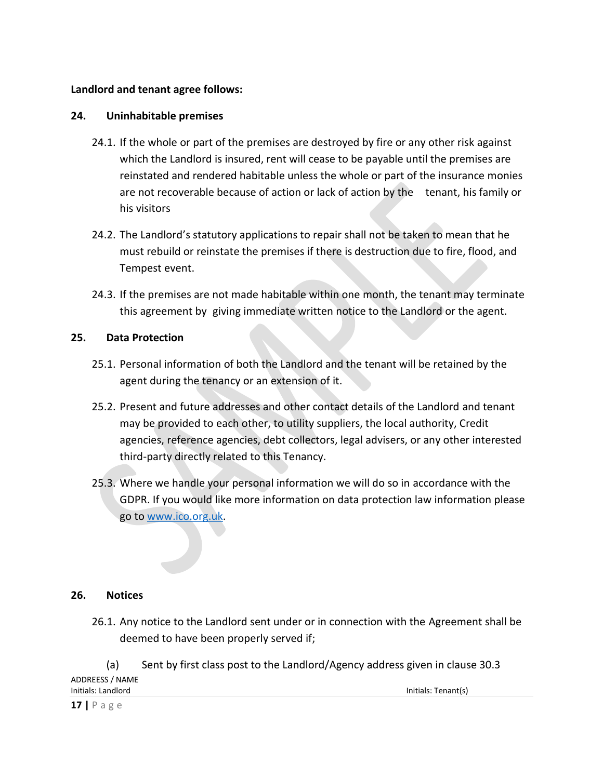#### **Landlord and tenant agree follows:**

#### **24. Uninhabitable premises**

- 24.1. If the whole or part of the premises are destroyed by fire or any other risk against which the Landlord is insured, rent will cease to be payable until the premises are reinstated and rendered habitable unless the whole or part of the insurance monies are not recoverable because of action or lack of action by the tenant, his family or his visitors
- 24.2. The Landlord's statutory applications to repair shall not be taken to mean that he must rebuild or reinstate the premises if there is destruction due to fire, flood, and Tempest event.
- 24.3. If the premises are not made habitable within one month, the tenant may terminate this agreement by giving immediate written notice to the Landlord or the agent.

#### **25. Data Protection**

- 25.1. Personal information of both the Landlord and the tenant will be retained by the agent during the tenancy or an extension of it.
- 25.2. Present and future addresses and other contact details of the Landlord and tenant may be provided to each other, to utility suppliers, the local authority, Credit agencies, reference agencies, debt collectors, legal advisers, or any other interested third-party directly related to this Tenancy.
- 25.3. Where we handle your personal information we will do so in accordance with the GDPR. If you would like more information on data protection law information please go to [www.ico.org.uk.](http://www.ico.org.uk/)

#### **26. Notices**

- 26.1. Any notice to the Landlord sent under or in connection with the Agreement shall be deemed to have been properly served if;
- ADDREESS / NAME Initials: Landlord Initials: Tenant(s) (a) Sent by first class post to the Landlord/Agency address given in clause 30.3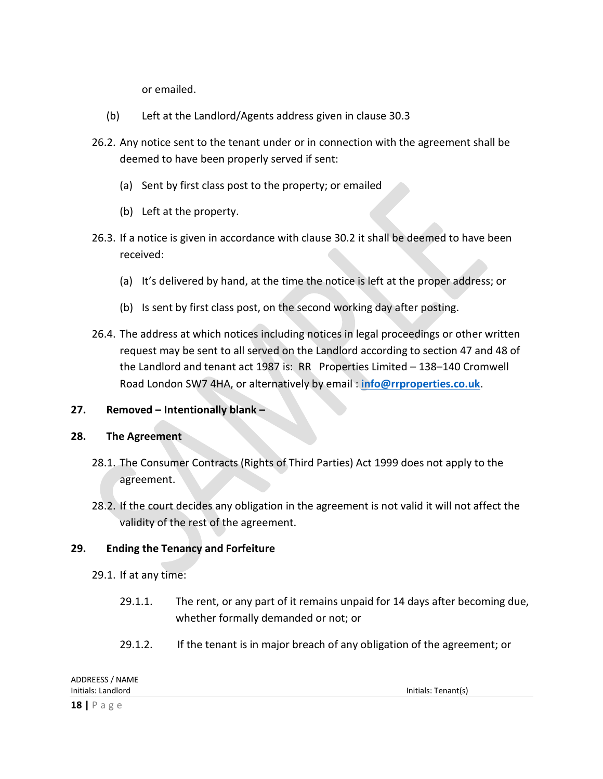or emailed.

- (b) Left at the Landlord/Agents address given in clause 30.3
- 26.2. Any notice sent to the tenant under or in connection with the agreement shall be deemed to have been properly served if sent:
	- (a) Sent by first class post to the property; or emailed
	- (b) Left at the property.
- 26.3. If a notice is given in accordance with clause 30.2 it shall be deemed to have been received:
	- (a) It's delivered by hand, at the time the notice is left at the proper address; or
	- (b) Is sent by first class post, on the second working day after posting.
- 26.4. The address at which notices including notices in legal proceedings or other written request may be sent to all served on the Landlord according to section 47 and 48 of the Landlord and tenant act 1987 is: RR Properties Limited – 138–140 Cromwell Road London SW7 4HA, or alternatively by email : **[info@rrproperties.co.uk](mailto:info@rrproperties.co.uk)**.

#### **27. Removed – Intentionally blank –**

#### **28. The Agreement**

- 28.1. The Consumer Contracts (Rights of Third Parties) Act 1999 does not apply to the agreement.
- 28.2. If the court decides any obligation in the agreement is not valid it will not affect the validity of the rest of the agreement.

#### **29. Ending the Tenancy and Forfeiture**

- 29.1. If at any time:
	- 29.1.1. The rent, or any part of it remains unpaid for 14 days after becoming due, whether formally demanded or not; or
	- 29.1.2. If the tenant is in major breach of any obligation of the agreement; or

| ADDREESS / NAME    |                     |
|--------------------|---------------------|
| Initials: Landlord | Initials: Tenant(s) |
| $18$   Page        |                     |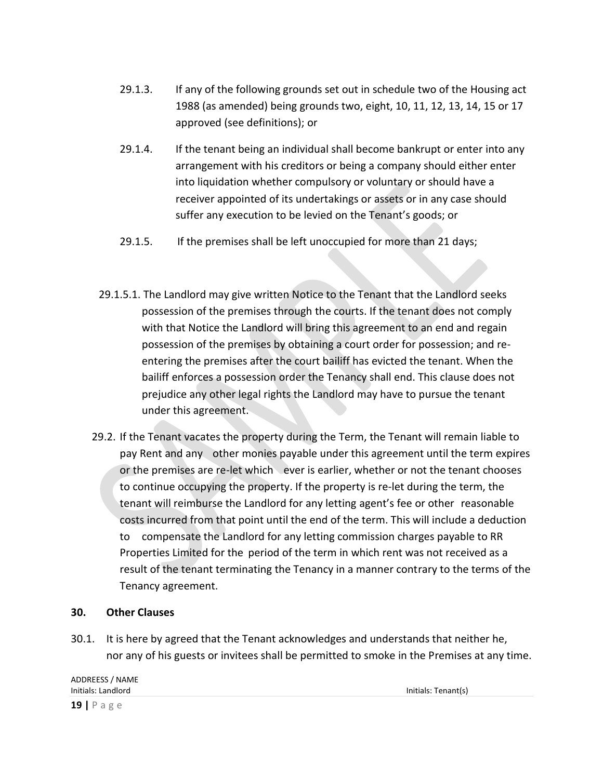- 29.1.3. If any of the following grounds set out in schedule two of the Housing act 1988 (as amended) being grounds two, eight, 10, 11, 12, 13, 14, 15 or 17 approved (see definitions); or
- 29.1.4. If the tenant being an individual shall become bankrupt or enter into any arrangement with his creditors or being a company should either enter into liquidation whether compulsory or voluntary or should have a receiver appointed of its undertakings or assets or in any case should suffer any execution to be levied on the Tenant's goods; or
- 29.1.5. If the premises shall be left unoccupied for more than 21 days;
- 29.1.5.1. The Landlord may give written Notice to the Tenant that the Landlord seeks possession of the premises through the courts. If the tenant does not comply with that Notice the Landlord will bring this agreement to an end and regain possession of the premises by obtaining a court order for possession; and reentering the premises after the court bailiff has evicted the tenant. When the bailiff enforces a possession order the Tenancy shall end. This clause does not prejudice any other legal rights the Landlord may have to pursue the tenant under this agreement.
- 29.2. If the Tenant vacates the property during the Term, the Tenant will remain liable to pay Rent and any other monies payable under this agreement until the term expires or the premises are re-let which ever is earlier, whether or not the tenant chooses to continue occupying the property. If the property is re-let during the term, the tenant will reimburse the Landlord for any letting agent's fee or other reasonable costs incurred from that point until the end of the term. This will include a deduction to compensate the Landlord for any letting commission charges payable to RR Properties Limited for the period of the term in which rent was not received as a result of the tenant terminating the Tenancy in a manner contrary to the terms of the Tenancy agreement.

# **30. Other Clauses**

30.1. It is here by agreed that the Tenant acknowledges and understands that neither he, nor any of his guests or invitees shall be permitted to smoke in the Premises at any time.

ADDREESS / NAME Initials: Landlord Initials: Tenant(s) **19 |** P a g e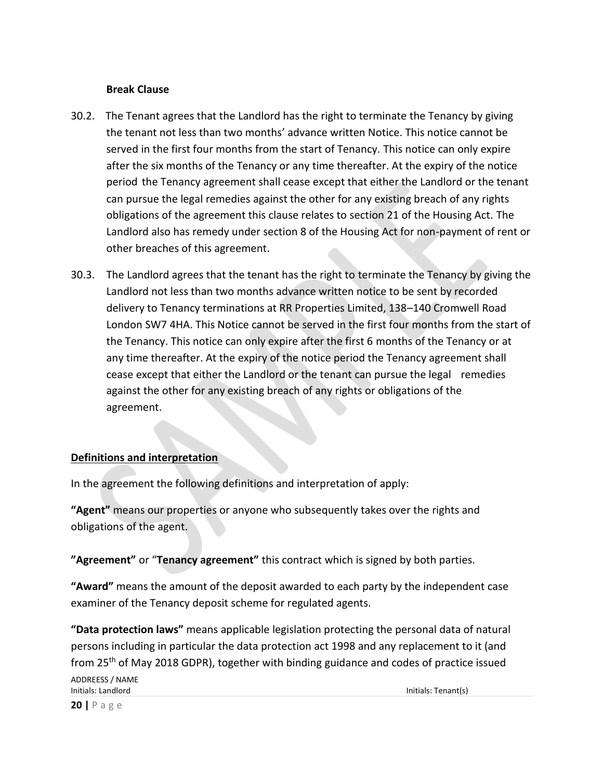#### **Break Clause**

- 30.2. The Tenant agrees that the Landlord has the right to terminate the Tenancy by giving the tenant not less than two months' advance written Notice. This notice cannot be served in the first four months from the start of Tenancy. This notice can only expire after the six months of the Tenancy or any time thereafter. At the expiry of the notice period the Tenancy agreement shall cease except that either the Landlord or the tenant can pursue the legal remedies against the other for any existing breach of any rights obligations of the agreement this clause relates to section 21 of the Housing Act. The Landlord also has remedy under section 8 of the Housing Act for non-payment of rent or other breaches of this agreement.
- 30.3. The Landlord agrees that the tenant has the right to terminate the Tenancy by giving the Landlord not less than two months advance written notice to be sent by recorded delivery to Tenancy terminations at RR Properties Limited, 138–140 Cromwell Road London SW7 4HA. This Notice cannot be served in the first four months from the start of the Tenancy. This notice can only expire after the first 6 months of the Tenancy or at any time thereafter. At the expiry of the notice period the Tenancy agreement shall cease except that either the Landlord or the tenant can pursue the legal remedies against the other for any existing breach of any rights or obligations of the agreement.

# **Definitions and interpretation**

In the agreement the following definitions and interpretation of apply:

**"Agent"** means our properties or anyone who subsequently takes over the rights and obligations of the agent.

**"Agreement"** or "**Tenancy agreement"** this contract which is signed by both parties.

**"Award"** means the amount of the deposit awarded to each party by the independent case examiner of the Tenancy deposit scheme for regulated agents.

**"Data protection laws"** means applicable legislation protecting the personal data of natural persons including in particular the data protection act 1998 and any replacement to it (and from 25<sup>th</sup> of May 2018 GDPR), together with binding guidance and codes of practice issued

ADDREESS / NAME Initials: Landlord Initials: Tenant(s)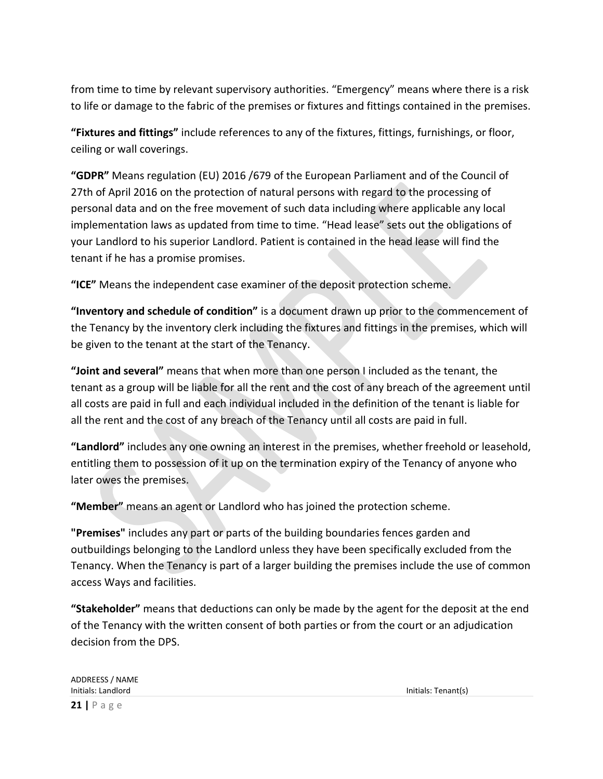from time to time by relevant supervisory authorities. "Emergency" means where there is a risk to life or damage to the fabric of the premises or fixtures and fittings contained in the premises.

**"Fixtures and fittings"** include references to any of the fixtures, fittings, furnishings, or floor, ceiling or wall coverings.

**"GDPR"** Means regulation (EU) 2016 /679 of the European Parliament and of the Council of 27th of April 2016 on the protection of natural persons with regard to the processing of personal data and on the free movement of such data including where applicable any local implementation laws as updated from time to time. "Head lease" sets out the obligations of your Landlord to his superior Landlord. Patient is contained in the head lease will find the tenant if he has a promise promises.

**"ICE"** Means the independent case examiner of the deposit protection scheme.

**"Inventory and schedule of condition"** is a document drawn up prior to the commencement of the Tenancy by the inventory clerk including the fixtures and fittings in the premises, which will be given to the tenant at the start of the Tenancy.

**"Joint and several"** means that when more than one person I included as the tenant, the tenant as a group will be liable for all the rent and the cost of any breach of the agreement until all costs are paid in full and each individual included in the definition of the tenant is liable for all the rent and the cost of any breach of the Tenancy until all costs are paid in full.

**"Landlord"** includes any one owning an interest in the premises, whether freehold or leasehold, entitling them to possession of it up on the termination expiry of the Tenancy of anyone who later owes the premises.

**"Member"** means an agent or Landlord who has joined the protection scheme.

**"Premises"** includes any part or parts of the building boundaries fences garden and outbuildings belonging to the Landlord unless they have been specifically excluded from the Tenancy. When the Tenancy is part of a larger building the premises include the use of common access Ways and facilities.

**"Stakeholder"** means that deductions can only be made by the agent for the deposit at the end of the Tenancy with the written consent of both parties or from the court or an adjudication decision from the DPS.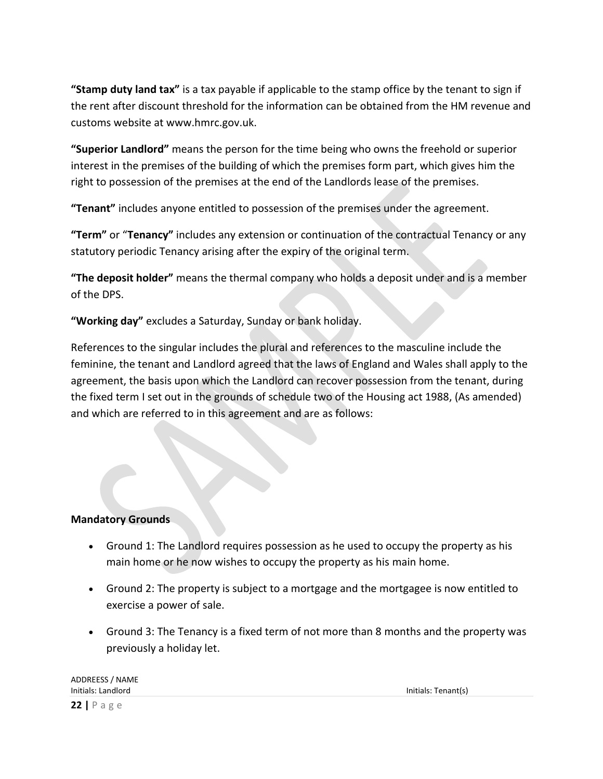**"Stamp duty land tax"** is a tax payable if applicable to the stamp office by the tenant to sign if the rent after discount threshold for the information can be obtained from the HM revenue and customs website at www.hmrc.gov.uk.

**"Superior Landlord"** means the person for the time being who owns the freehold or superior interest in the premises of the building of which the premises form part, which gives him the right to possession of the premises at the end of the Landlords lease of the premises.

**"Tenant"** includes anyone entitled to possession of the premises under the agreement.

**"Term"** or "**Tenancy"** includes any extension or continuation of the contractual Tenancy or any statutory periodic Tenancy arising after the expiry of the original term.

**"The deposit holder"** means the thermal company who holds a deposit under and is a member of the DPS.

**"Working day"** excludes a Saturday, Sunday or bank holiday.

References to the singular includes the plural and references to the masculine include the feminine, the tenant and Landlord agreed that the laws of England and Wales shall apply to the agreement, the basis upon which the Landlord can recover possession from the tenant, during the fixed term I set out in the grounds of schedule two of the Housing act 1988, (As amended) and which are referred to in this agreement and are as follows:

# **Mandatory Grounds**

- Ground 1: The Landlord requires possession as he used to occupy the property as his main home or he now wishes to occupy the property as his main home.
- Ground 2: The property is subject to a mortgage and the mortgagee is now entitled to exercise a power of sale.
- Ground 3: The Tenancy is a fixed term of not more than 8 months and the property was previously a holiday let.

| <b>ADDREESS / NAME</b> |
|------------------------|
| Initials: Landlord     |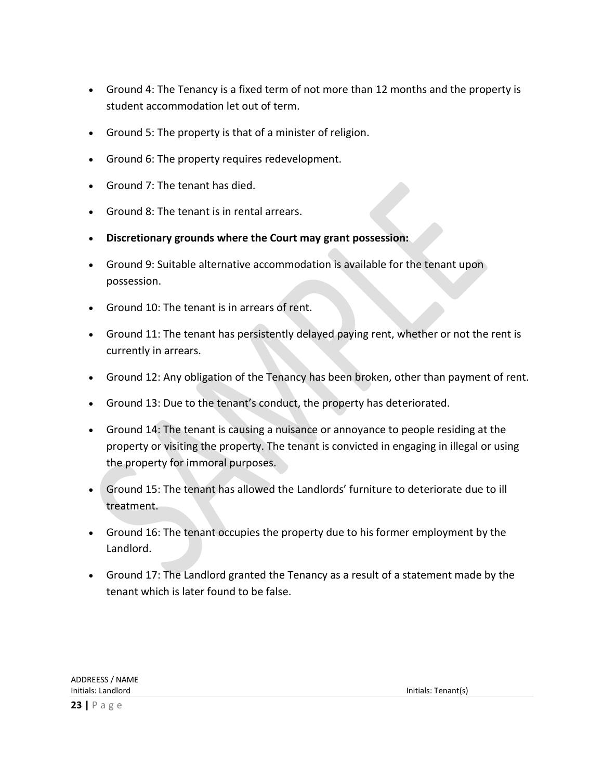- Ground 4: The Tenancy is a fixed term of not more than 12 months and the property is student accommodation let out of term.
- Ground 5: The property is that of a minister of religion.
- Ground 6: The property requires redevelopment.
- Ground 7: The tenant has died.
- Ground 8: The tenant is in rental arrears.
- **Discretionary grounds where the Court may grant possession:**
- Ground 9: Suitable alternative accommodation is available for the tenant upon possession.
- Ground 10: The tenant is in arrears of rent.
- Ground 11: The tenant has persistently delayed paying rent, whether or not the rent is currently in arrears.
- Ground 12: Any obligation of the Tenancy has been broken, other than payment of rent.
- Ground 13: Due to the tenant's conduct, the property has deteriorated.
- Ground 14: The tenant is causing a nuisance or annoyance to people residing at the property or visiting the property. The tenant is convicted in engaging in illegal or using the property for immoral purposes.
- Ground 15: The tenant has allowed the Landlords' furniture to deteriorate due to ill treatment.
- Ground 16: The tenant occupies the property due to his former employment by the Landlord.
- Ground 17: The Landlord granted the Tenancy as a result of a statement made by the tenant which is later found to be false.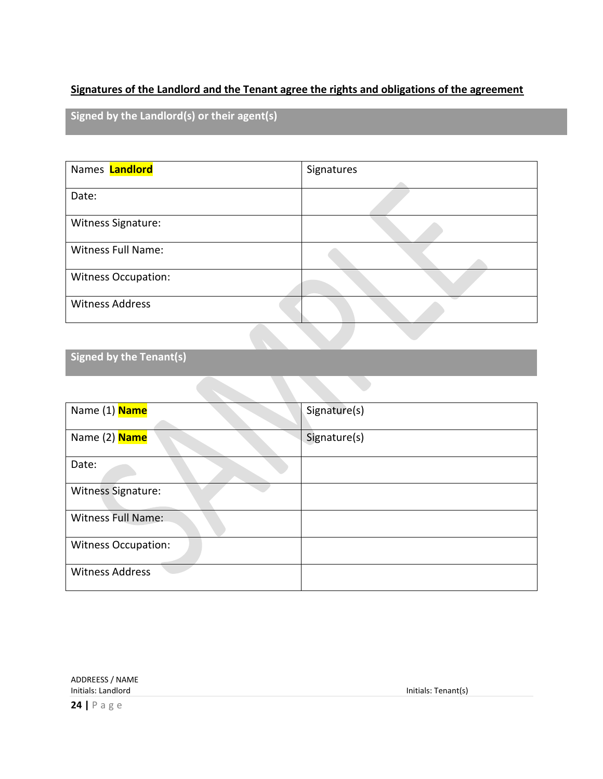# **Signatures of the Landlord and the Tenant agree the rights and obligations of the agreement**

**Signed by the Landlord(s) or their agent(s)**

| Names <b>Landlord</b>      | Signatures |
|----------------------------|------------|
|                            |            |
| Date:                      |            |
| Witness Signature:         |            |
| <b>Witness Full Name:</b>  |            |
| <b>Witness Occupation:</b> |            |
| <b>Witness Address</b>     |            |

**Signed by the Tenant(s)**

| Name (1) <b>Name</b>       | Signature(s) |
|----------------------------|--------------|
|                            |              |
| Name (2) Name              | Signature(s) |
|                            |              |
| Date:                      |              |
| Witness Signature:         |              |
| <b>Witness Full Name:</b>  |              |
| <b>Witness Occupation:</b> |              |
| <b>Witness Address</b>     |              |